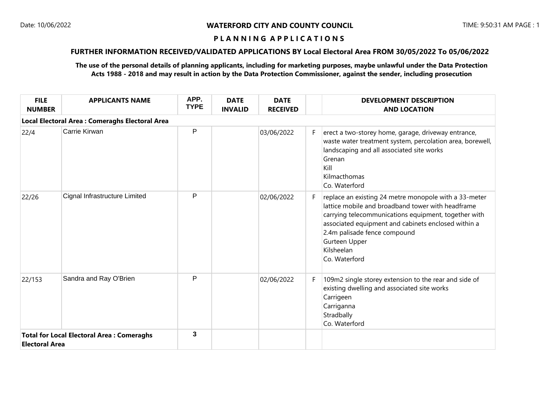# **FURTHER INFORMATION RECEIVED/VALIDATED APPLICATIONS BY Local Electoral Area FROM 30/05/2022 To 05/06/2022**

| <b>FILE</b><br><b>NUMBER</b> | <b>APPLICANTS NAME</b>                           | APP.<br><b>TYPE</b> | <b>DATE</b><br><b>INVALID</b> | <b>DATE</b><br><b>RECEIVED</b> |    | <b>DEVELOPMENT DESCRIPTION</b><br><b>AND LOCATION</b>                                                                                                                                                                                                                                                     |
|------------------------------|--------------------------------------------------|---------------------|-------------------------------|--------------------------------|----|-----------------------------------------------------------------------------------------------------------------------------------------------------------------------------------------------------------------------------------------------------------------------------------------------------------|
|                              | Local Electoral Area : Comeraghs Electoral Area  |                     |                               |                                |    |                                                                                                                                                                                                                                                                                                           |
| 22/4                         | Carrie Kirwan                                    | P                   |                               | 03/06/2022                     | F. | erect a two-storey home, garage, driveway entrance,<br>waste water treatment system, percolation area, borewell,<br>landscaping and all associated site works<br>Grenan<br>Kill<br>Kilmacthomas<br>Co. Waterford                                                                                          |
| 22/26                        | Cignal Infrastructure Limited                    | P                   |                               | 02/06/2022                     | F. | replace an existing 24 metre monopole with a 33-meter<br>lattice mobile and broadband tower with headframe<br>carrying telecommunications equipment, together with<br>associated equipment and cabinets enclosed within a<br>2.4m palisade fence compound<br>Gurteen Upper<br>Kilsheelan<br>Co. Waterford |
| 22/153                       | Sandra and Ray O'Brien                           | P                   |                               | 02/06/2022                     | F  | 109m2 single storey extension to the rear and side of<br>existing dwelling and associated site works<br>Carrigeen<br>Carriganna<br>Stradbally<br>Co. Waterford                                                                                                                                            |
| <b>Electoral Area</b>        | <b>Total for Local Electoral Area: Comeraghs</b> | 3                   |                               |                                |    |                                                                                                                                                                                                                                                                                                           |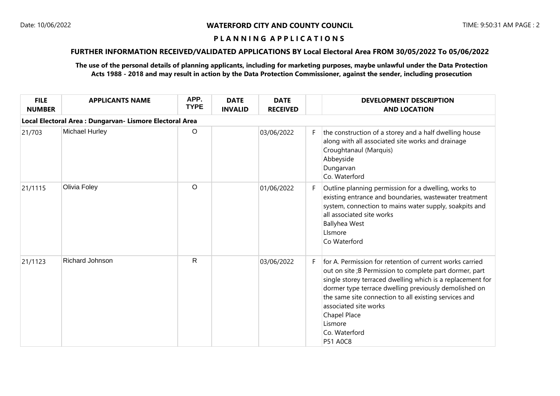# **FURTHER INFORMATION RECEIVED/VALIDATED APPLICATIONS BY Local Electoral Area FROM 30/05/2022 To 05/06/2022**

| <b>FILE</b><br><b>NUMBER</b>                             | <b>APPLICANTS NAME</b> | APP.<br><b>TYPE</b> | <b>DATE</b><br><b>INVALID</b> | <b>DATE</b><br><b>RECEIVED</b> |    | <b>DEVELOPMENT DESCRIPTION</b><br><b>AND LOCATION</b>                                                                                                                                                                                                                                                                                                                                       |  |  |  |  |
|----------------------------------------------------------|------------------------|---------------------|-------------------------------|--------------------------------|----|---------------------------------------------------------------------------------------------------------------------------------------------------------------------------------------------------------------------------------------------------------------------------------------------------------------------------------------------------------------------------------------------|--|--|--|--|
| Local Electoral Area : Dungarvan- Lismore Electoral Area |                        |                     |                               |                                |    |                                                                                                                                                                                                                                                                                                                                                                                             |  |  |  |  |
| 21/703                                                   | <b>Michael Hurley</b>  | $\circ$             |                               | 03/06/2022                     | F. | the construction of a storey and a half dwelling house<br>along with all associated site works and drainage<br>Croughtanaul (Marquis)<br>Abbeyside<br>Dungarvan<br>Co. Waterford                                                                                                                                                                                                            |  |  |  |  |
| 21/1115                                                  | Olivia Foley           | $\circ$             |                               | 01/06/2022                     | F. | Outline planning permission for a dwelling, works to<br>existing entrance and boundaries, wastewater treatment<br>system, connection to mains water supply, soakpits and<br>all associated site works<br><b>Ballyhea West</b><br>LIsmore<br>Co Waterford                                                                                                                                    |  |  |  |  |
| 21/1123                                                  | Richard Johnson        | $\mathsf{R}$        |                               | 03/06/2022                     | F. | for A. Permission for retention of current works carried<br>out on site ;B Permission to complete part dormer, part<br>single storey terraced dwelling which is a replacement for<br>dormer type terrace dwelling previously demolished on<br>the same site connection to all existing services and<br>associated site works<br>Chapel Place<br>Lismore<br>Co. Waterford<br><b>P51 A0C8</b> |  |  |  |  |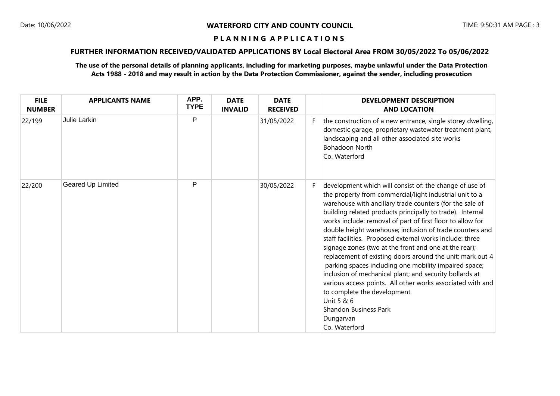# **FURTHER INFORMATION RECEIVED/VALIDATED APPLICATIONS BY Local Electoral Area FROM 30/05/2022 To 05/06/2022**

| <b>FILE</b><br><b>NUMBER</b> | <b>APPLICANTS NAME</b> | APP.<br><b>TYPE</b> | <b>DATE</b><br><b>INVALID</b> | <b>DATE</b><br><b>RECEIVED</b> |    | <b>DEVELOPMENT DESCRIPTION</b><br><b>AND LOCATION</b>                                                                                                                                                                                                                                                                                                                                                                                                                                                                                                                                                                                                                                                                                                                                                                                                |
|------------------------------|------------------------|---------------------|-------------------------------|--------------------------------|----|------------------------------------------------------------------------------------------------------------------------------------------------------------------------------------------------------------------------------------------------------------------------------------------------------------------------------------------------------------------------------------------------------------------------------------------------------------------------------------------------------------------------------------------------------------------------------------------------------------------------------------------------------------------------------------------------------------------------------------------------------------------------------------------------------------------------------------------------------|
| 22/199                       | <b>Julie Larkin</b>    | P                   |                               | 31/05/2022                     |    | the construction of a new entrance, single storey dwelling,<br>domestic garage, proprietary wastewater treatment plant,<br>landscaping and all other associated site works<br><b>Bohadoon North</b><br>Co. Waterford                                                                                                                                                                                                                                                                                                                                                                                                                                                                                                                                                                                                                                 |
| 22/200                       | Geared Up Limited      | P                   |                               | 30/05/2022                     | F. | development which will consist of: the change of use of<br>the property from commercial/light industrial unit to a<br>warehouse with ancillary trade counters (for the sale of<br>building related products principally to trade). Internal<br>works include: removal of part of first floor to allow for<br>double height warehouse; inclusion of trade counters and<br>staff facilities. Proposed external works include: three<br>signage zones (two at the front and one at the rear);<br>replacement of existing doors around the unit; mark out 4<br>parking spaces including one mobility impaired space;<br>inclusion of mechanical plant; and security bollards at<br>various access points. All other works associated with and<br>to complete the development<br>Unit 5 & 6<br><b>Shandon Business Park</b><br>Dungarvan<br>Co. Waterford |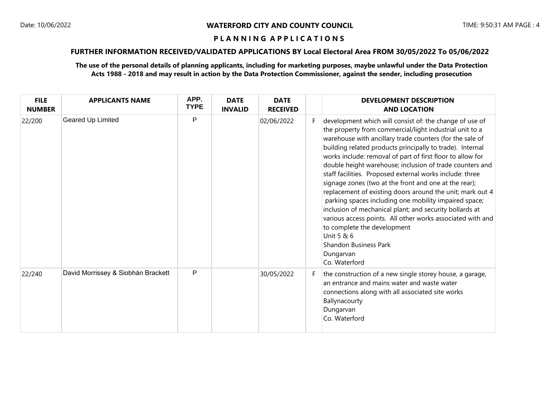# **FURTHER INFORMATION RECEIVED/VALIDATED APPLICATIONS BY Local Electoral Area FROM 30/05/2022 To 05/06/2022**

| <b>FILE</b><br><b>NUMBER</b> | <b>APPLICANTS NAME</b>             | APP.<br><b>TYPE</b> | <b>DATE</b><br><b>INVALID</b> | <b>DATE</b><br><b>RECEIVED</b> |    | <b>DEVELOPMENT DESCRIPTION</b><br><b>AND LOCATION</b>                                                                                                                                                                                                                                                                                                                                                                                                                                                                                                                                                                                                                                                                                                                                                                                                |
|------------------------------|------------------------------------|---------------------|-------------------------------|--------------------------------|----|------------------------------------------------------------------------------------------------------------------------------------------------------------------------------------------------------------------------------------------------------------------------------------------------------------------------------------------------------------------------------------------------------------------------------------------------------------------------------------------------------------------------------------------------------------------------------------------------------------------------------------------------------------------------------------------------------------------------------------------------------------------------------------------------------------------------------------------------------|
| 22/200                       | Geared Up Limited                  | P                   |                               | 02/06/2022                     | F. | development which will consist of: the change of use of<br>the property from commercial/light industrial unit to a<br>warehouse with ancillary trade counters (for the sale of<br>building related products principally to trade). Internal<br>works include: removal of part of first floor to allow for<br>double height warehouse; inclusion of trade counters and<br>staff facilities. Proposed external works include: three<br>signage zones (two at the front and one at the rear);<br>replacement of existing doors around the unit; mark out 4<br>parking spaces including one mobility impaired space;<br>inclusion of mechanical plant; and security bollards at<br>various access points. All other works associated with and<br>to complete the development<br>Unit 5 & 6<br><b>Shandon Business Park</b><br>Dungarvan<br>Co. Waterford |
| 22/240                       | David Morrissey & Siobhán Brackett | P                   |                               | 30/05/2022                     | F. | the construction of a new single storey house, a garage,<br>an entrance and mains water and waste water<br>connections along with all associated site works<br>Ballynacourty<br>Dungarvan<br>Co. Waterford                                                                                                                                                                                                                                                                                                                                                                                                                                                                                                                                                                                                                                           |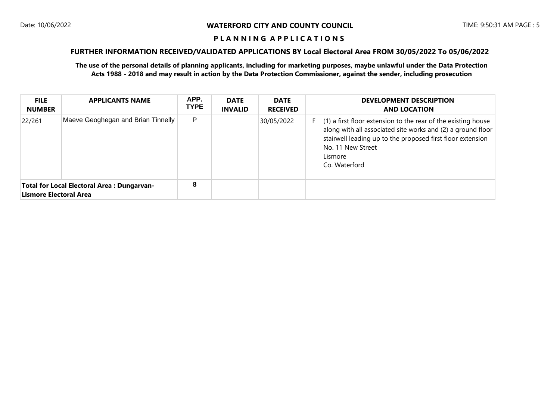# **FURTHER INFORMATION RECEIVED/VALIDATED APPLICATIONS BY Local Electoral Area FROM 30/05/2022 To 05/06/2022**

| <b>FILE</b><br><b>NUMBER</b>  | <b>APPLICANTS NAME</b>                     | APP.<br><b>TYPE</b> | <b>DATE</b><br><b>INVALID</b> | <b>DATE</b><br><b>RECEIVED</b> | <b>DEVELOPMENT DESCRIPTION</b><br><b>AND LOCATION</b>                                                                                                                                                                                         |
|-------------------------------|--------------------------------------------|---------------------|-------------------------------|--------------------------------|-----------------------------------------------------------------------------------------------------------------------------------------------------------------------------------------------------------------------------------------------|
| 22/261                        | Maeve Geoghegan and Brian Tinnelly         | P                   |                               | 30/05/2022                     | $(1)$ a first floor extension to the rear of the existing house<br>along with all associated site works and (2) a ground floor<br>stairwell leading up to the proposed first floor extension<br>No. 11 New Street<br>Lismore<br>Co. Waterford |
| <b>Lismore Electoral Area</b> | Total for Local Electoral Area: Dungarvan- | 8                   |                               |                                |                                                                                                                                                                                                                                               |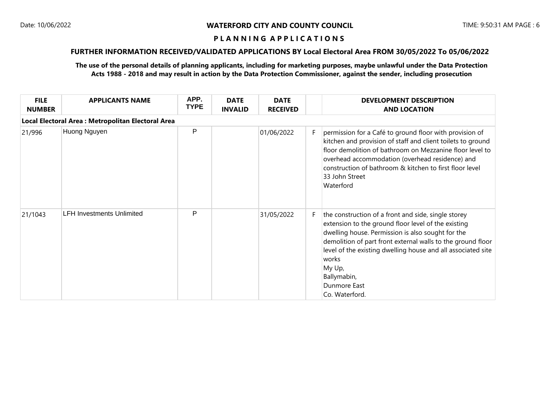# **FURTHER INFORMATION RECEIVED/VALIDATED APPLICATIONS BY Local Electoral Area FROM 30/05/2022 To 05/06/2022**

| <b>FILE</b><br><b>NUMBER</b> | <b>APPLICANTS NAME</b>                             | APP.<br><b>TYPE</b> | <b>DATE</b><br><b>INVALID</b> | <b>DATE</b><br><b>RECEIVED</b> |    | <b>DEVELOPMENT DESCRIPTION</b><br><b>AND LOCATION</b>                                                                                                                                                                                                                                                                                                              |
|------------------------------|----------------------------------------------------|---------------------|-------------------------------|--------------------------------|----|--------------------------------------------------------------------------------------------------------------------------------------------------------------------------------------------------------------------------------------------------------------------------------------------------------------------------------------------------------------------|
|                              | Local Electoral Area : Metropolitan Electoral Area |                     |                               |                                |    |                                                                                                                                                                                                                                                                                                                                                                    |
| 21/996                       | Huong Nguyen                                       | P                   |                               | 01/06/2022                     | F. | permission for a Café to ground floor with provision of<br>kitchen and provision of staff and client toilets to ground<br>floor demolition of bathroom on Mezzanine floor level to<br>overhead accommodation (overhead residence) and<br>construction of bathroom & kitchen to first floor level<br>33 John Street<br>Waterford                                    |
| 21/1043                      | <b>LFH Investments Unlimited</b>                   | P                   |                               | 31/05/2022                     | F. | the construction of a front and side, single storey<br>extension to the ground floor level of the existing<br>dwelling house. Permission is also sought for the<br>demolition of part front external walls to the ground floor<br>level of the existing dwelling house and all associated site<br>works<br>My Up,<br>Ballymabin,<br>Dunmore East<br>Co. Waterford. |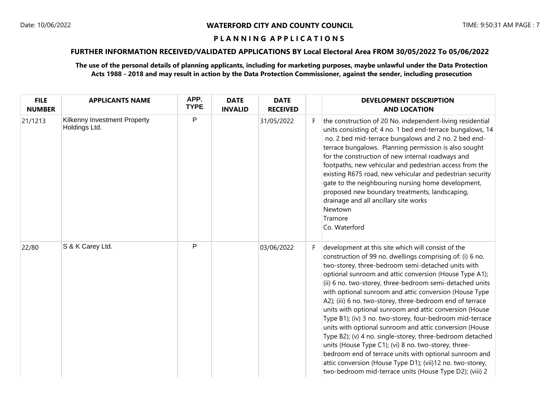# **FURTHER INFORMATION RECEIVED/VALIDATED APPLICATIONS BY Local Electoral Area FROM 30/05/2022 To 05/06/2022**

| <b>FILE</b><br><b>NUMBER</b> | <b>APPLICANTS NAME</b>                        | APP.<br><b>TYPE</b> | <b>DATE</b><br><b>INVALID</b> | <b>DATE</b><br><b>RECEIVED</b> |    | <b>DEVELOPMENT DESCRIPTION</b><br><b>AND LOCATION</b>                                                                                                                                                                                                                                                                                                                                                                                                                                                                                                                                                                                                                                                                                                                                                                                                                                                        |
|------------------------------|-----------------------------------------------|---------------------|-------------------------------|--------------------------------|----|--------------------------------------------------------------------------------------------------------------------------------------------------------------------------------------------------------------------------------------------------------------------------------------------------------------------------------------------------------------------------------------------------------------------------------------------------------------------------------------------------------------------------------------------------------------------------------------------------------------------------------------------------------------------------------------------------------------------------------------------------------------------------------------------------------------------------------------------------------------------------------------------------------------|
| 21/1213                      | Kilkenny Investment Property<br>Holdings Ltd. | $\mathsf{P}$        |                               | 31/05/2022                     | F. | the construction of 20 No. independent-living residential<br>units consisting of; 4 no. 1 bed end-terrace bungalows, 14<br>no. 2 bed mid-terrace bungalows and 2 no. 2 bed end-<br>terrace bungalows. Planning permission is also sought<br>for the construction of new internal roadways and<br>footpaths, new vehicular and pedestrian access from the<br>existing R675 road, new vehicular and pedestrian security<br>gate to the neighbouring nursing home development,<br>proposed new boundary treatments, landscaping,<br>drainage and all ancillary site works<br>Newtown<br>Tramore<br>Co. Waterford                                                                                                                                                                                                                                                                                                |
| 22/80                        | S & K Carey Ltd.                              | $\mathsf{P}$        |                               | 03/06/2022                     | F. | development at this site which will consist of the<br>construction of 99 no. dwellings comprising of: (i) 6 no.<br>two-storey, three-bedroom semi-detached units with<br>optional sunroom and attic conversion (House Type A1);<br>(ii) 6 no. two-storey, three-bedroom semi-detached units<br>with optional sunroom and attic conversion (House Type<br>A2); (iii) 6 no. two-storey, three-bedroom end of terrace<br>units with optional sunroom and attic conversion (House<br>Type B1); (iv) 3 no. two-storey, four-bedroom mid-terrace<br>units with optional sunroom and attic conversion (House<br>Type B2); (v) 4 no. single-storey, three-bedroom detached<br>units (House Type C1); (vi) 8 no. two-storey, three-<br>bedroom end of terrace units with optional sunroom and<br>attic conversion (House Type D1); (vii)12 no. two-storey,<br>two-bedroom mid-terrace units (House Type D2); (viii) 2 |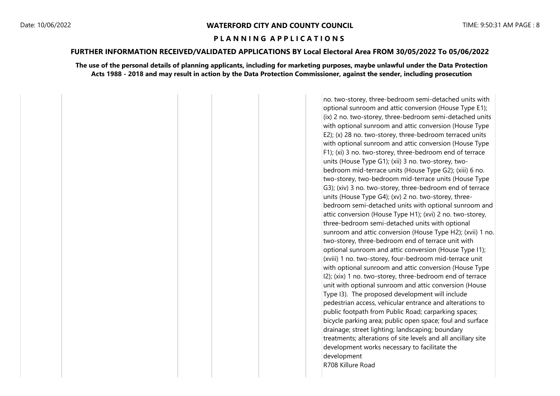# **FURTHER INFORMATION RECEIVED/VALIDATED APPLICATIONS BY Local Electoral Area FROM 30/05/2022 To 05/06/2022**

#### **The use of the personal details of planning applicants, including for marketing purposes, maybe unlawful under the Data Protection Acts 1988 - 2018 and may result in action by the Data Protection Commissioner, against the sender, including prosecution**

no. two-storey, three-bedroom semi-detached units with optional sunroom and attic conversion (House Type E1);  $(x)$  2 no. two-storey, three-bedroom semi-detached units with optional sunroom and attic conversion (House Type E2); (x) 28 no. two-storey, three-bedroom terraced units with optional sunroom and attic conversion (House Type F1); (xi) 3 no. two-storey, three-bedroom end of terrace units (House Type G1); (xii) 3 no. two-storey, twobedroom mid-terrace units (House Type G2); (xiii) 6 no. two-storey, two-bedroom mid-terrace units (House Type G3); (xiv) 3 no. two-storey, three-bedroom end of terrace units (House Type G4); (xv) 2 no. two-storey, threebedroom semi-detached units with optional sunroom and attic conversion (House Type H1); (xvi) 2 no. two-storey, three-bedroom semi-detached units with optional sunroom and attic conversion (House Type H2); (xvii) 1 no. two-storey, three-bedroom end of terrace unit with optional sunroom and attic conversion (House Type I1); (xviii) 1 no. two-storey, four-bedroom mid-terrace unit with optional sunroom and attic conversion (House Type I2); (xix) 1 no. two-storey, three-bedroom end of terrace unit with optional sunroom and attic conversion (House Type I3). The proposed development will include pedestrian access, vehicular entrance and alterations to public footpath from Public Road; carparking spaces; bicycle parking area; public open space; foul and surface drainage; street lighting; landscaping; boundary treatments; alterations of site levels and all ancillary site development works necessary to facilitate the development R708 Killure Road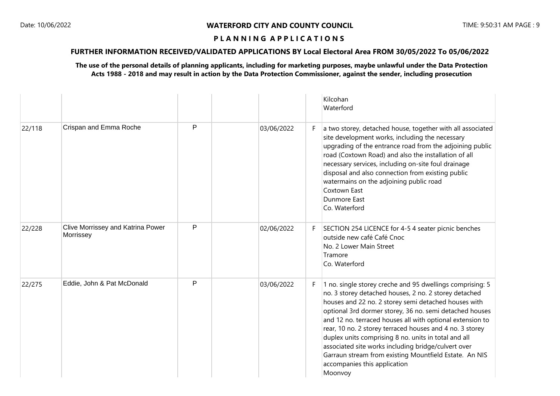# **FURTHER INFORMATION RECEIVED/VALIDATED APPLICATIONS BY Local Electoral Area FROM 30/05/2022 To 05/06/2022**

|        |                                                |              |            |    | Kilcohan<br>Waterford                                                                                                                                                                                                                                                                                                                                                                                                                                                                                                                                                              |
|--------|------------------------------------------------|--------------|------------|----|------------------------------------------------------------------------------------------------------------------------------------------------------------------------------------------------------------------------------------------------------------------------------------------------------------------------------------------------------------------------------------------------------------------------------------------------------------------------------------------------------------------------------------------------------------------------------------|
| 22/118 | Crispan and Emma Roche                         | P            | 03/06/2022 | F. | a two storey, detached house, together with all associated<br>site development works, including the necessary<br>upgrading of the entrance road from the adjoining public<br>road (Coxtown Road) and also the installation of all<br>necessary services, including on-site foul drainage<br>disposal and also connection from existing public<br>watermains on the adjoining public road<br>Coxtown East<br><b>Dunmore East</b><br>Co. Waterford                                                                                                                                   |
| 22/228 | Clive Morrissey and Katrina Power<br>Morrissey | $\mathsf{P}$ | 02/06/2022 | F. | SECTION 254 LICENCE for 4-5 4 seater picnic benches<br>outside new café Café Cnoc<br>No. 2 Lower Main Street<br>Tramore<br>Co. Waterford                                                                                                                                                                                                                                                                                                                                                                                                                                           |
| 22/275 | Eddie, John & Pat McDonald                     | P            | 03/06/2022 | F. | 1 no. single storey creche and 95 dwellings comprising: 5<br>no. 3 storey detached houses, 2 no. 2 storey detached<br>houses and 22 no. 2 storey semi detached houses with<br>optional 3rd dormer storey, 36 no. semi detached houses<br>and 12 no. terraced houses all with optional extension to<br>rear, 10 no. 2 storey terraced houses and 4 no. 3 storey<br>duplex units comprising 8 no. units in total and all<br>associated site works including bridge/culvert over<br>Garraun stream from existing Mountfield Estate. An NIS<br>accompanies this application<br>Moonvoy |